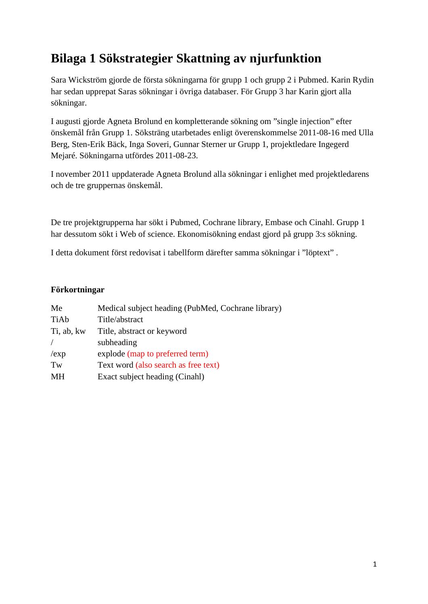# **Bilaga 1 Sökstrategier Skattning av njurfunktion**

Sara Wickström gjorde de första sökningarna för grupp 1 och grupp 2 i Pubmed. Karin Rydin har sedan upprepat Saras sökningar i övriga databaser. För Grupp 3 har Karin gjort alla sökningar.

I augusti gjorde Agneta Brolund en kompletterande sökning om "single injection" efter önskemål från Grupp 1. Söksträng utarbetades enligt överenskommelse 2011-08-16 med Ulla Berg, Sten-Erik Bäck, Inga Soveri, Gunnar Sterner ur Grupp 1, projektledare Ingegerd Mejaré. Sökningarna utfördes 2011-08-23.

I november 2011 uppdaterade Agneta Brolund alla sökningar i enlighet med projektledarens och de tre gruppernas önskemål.

De tre projektgrupperna har sökt i Pubmed, Cochrane library, Embase och Cinahl. Grupp 1 har dessutom sökt i Web of science. Ekonomisökning endast gjord på grupp 3:s sökning.

I detta dokument först redovisat i tabellform därefter samma sökningar i "löptext" .

### **Förkortningar**

| Me         | Medical subject heading (PubMed, Cochrane library) |
|------------|----------------------------------------------------|
| TiAb       | Title/abstract                                     |
| Ti, ab, kw | Title, abstract or keyword                         |
|            | subheading                                         |
| /exp       | explode (map to preferred term)                    |
| Tw         | Text word (also search as free text)               |
| MН         | Exact subject heading (Cinahl)                     |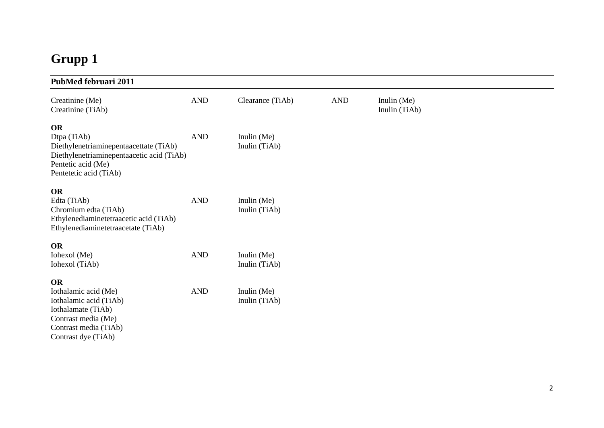# **Grupp 1**

| PubMed februari 2011                                                                                                                                     |            |                                |            |                                |
|----------------------------------------------------------------------------------------------------------------------------------------------------------|------------|--------------------------------|------------|--------------------------------|
| Creatinine (Me)<br>Creatinine (TiAb)                                                                                                                     | <b>AND</b> | Clearance (TiAb)               | <b>AND</b> | Inulin $(Me)$<br>Inulin (TiAb) |
| OR<br>Dtpa (TiAb)<br>Diethylenetriaminepentaacettate (TiAb)<br>Diethylenetriaminepentaacetic acid (TiAb)<br>Pentetic acid (Me)<br>Pentetetic acid (TiAb) | <b>AND</b> | Inulin (Me)<br>Inulin (TiAb)   |            |                                |
| OR<br>Edta (TiAb)<br>Chromium edta (TiAb)<br>Ethylenediaminetetraacetic acid (TiAb)<br>Ethylenediaminetetraacetate (TiAb)                                | <b>AND</b> | Inulin $(Me)$<br>Inulin (TiAb) |            |                                |
| <b>OR</b><br>Iohexol (Me)<br>Iohexol (TiAb)                                                                                                              | <b>AND</b> | Inulin $(Me)$<br>Inulin (TiAb) |            |                                |
| <b>OR</b><br>Iothalamic acid (Me)<br>Iothalamic acid (TiAb)<br>Iothalamate (TiAb)<br>Contrast media (Me)<br>Contrast media (TiAb)<br>Contrast dye (TiAb) | <b>AND</b> | Inulin (Me)<br>Inulin (TiAb)   |            |                                |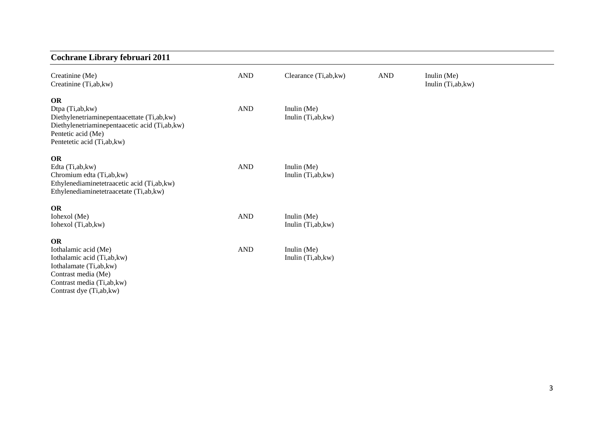# **Cochrane Library februari 2011**

| Creatinine (Me)<br>Creatinine (Ti,ab, kw)                                                                                                          | <b>AND</b>           | Clearance (Ti,ab, kw) | <b>AND</b> | Inulin (Me)<br>Inulin (Ti,ab, kw) |  |
|----------------------------------------------------------------------------------------------------------------------------------------------------|----------------------|-----------------------|------------|-----------------------------------|--|
| <b>OR</b><br>Dtpa (Ti,ab, kw)                                                                                                                      | $\operatorname{AND}$ | Inulin (Me)           |            |                                   |  |
| Diethylenetriaminepentaacettate (Ti,ab, kw)<br>Diethylenetriaminepentaacetic acid (Ti,ab, kw)<br>Pentetic acid (Me)<br>Pentetetic acid (Ti,ab, kw) |                      | Inulin (Ti,ab, kw)    |            |                                   |  |
| <b>OR</b>                                                                                                                                          |                      |                       |            |                                   |  |
| Edta (Ti,ab, kw)                                                                                                                                   | $\mathbf{AND}$       | Inulin (Me)           |            |                                   |  |
| Chromium edta (Ti,ab,kw)                                                                                                                           |                      | Inulin (Ti,ab, kw)    |            |                                   |  |
| Ethylenediaminetetraacetic acid (Ti,ab,kw)<br>Ethylenediaminetetraacetate (Ti,ab,kw)                                                               |                      |                       |            |                                   |  |
| <b>OR</b>                                                                                                                                          |                      |                       |            |                                   |  |
| Iohexol (Me)                                                                                                                                       | <b>AND</b>           | Inulin $(Me)$         |            |                                   |  |
| Iohexol (Ti,ab, kw)                                                                                                                                |                      | Inulin (Ti,ab, kw)    |            |                                   |  |
| <b>OR</b>                                                                                                                                          |                      |                       |            |                                   |  |
| Iothalamic acid (Me)                                                                                                                               | <b>AND</b>           | Inulin (Me)           |            |                                   |  |
| Iothalamic acid (Ti,ab,kw)                                                                                                                         |                      | Inulin (Ti,ab, kw)    |            |                                   |  |
| Iothalamate (Ti,ab, kw)                                                                                                                            |                      |                       |            |                                   |  |
| Contrast media (Me)                                                                                                                                |                      |                       |            |                                   |  |
| Contrast media (Ti,ab, kw)<br>Contrast dye (Ti,ab, kw)                                                                                             |                      |                       |            |                                   |  |
|                                                                                                                                                    |                      |                       |            |                                   |  |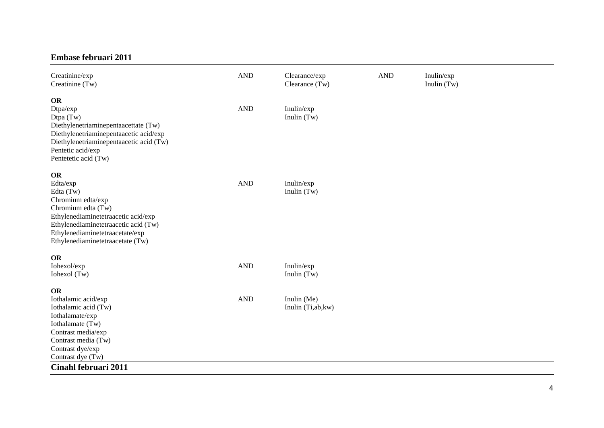### **Embase februari 2011**

| Creatinine/exp<br>Creatinine (Tw)                                                                                                                                                                                            | <b>AND</b> | Clearance/exp<br>Clearance (Tw)   | $\mathbf{AND}$ | Inulin/exp<br>Inulin $(Tw)$ |
|------------------------------------------------------------------------------------------------------------------------------------------------------------------------------------------------------------------------------|------------|-----------------------------------|----------------|-----------------------------|
| OR<br>Dtpa/exp<br>Dtpa (Tw)<br>Diethylenetriaminepentaacettate (Tw)<br>Diethylenetriaminepentaacetic acid/exp<br>Diethylenetriaminepentaacetic acid (Tw)<br>Pentetic acid/exp<br>Pentetetic acid (Tw)                        | <b>AND</b> | Inulin/exp<br>Inulin $(Tw)$       |                |                             |
| OR<br>Edta/exp<br>Edta (Tw)<br>Chromium edta/exp<br>Chromium edta (Tw)<br>Ethylenediaminetetraacetic acid/exp<br>Ethylenediaminetetraacetic acid (Tw)<br>Ethylenediaminetetraacetate/exp<br>Ethylenediaminetetraacetate (Tw) | <b>AND</b> | Inulin/exp<br>Inulin (Tw)         |                |                             |
| OR<br>Iohexol/exp<br>Iohexol (Tw)                                                                                                                                                                                            | <b>AND</b> | Inulin/exp<br>Inulin $(Tw)$       |                |                             |
| <b>OR</b><br>Iothalamic acid/exp<br>Iothalamic acid (Tw)<br>Iothalamate/exp<br>Iothalamate (Tw)<br>Contrast media/exp<br>Contrast media (Tw)<br>Contrast dye/exp<br>Contrast dye (Tw)                                        | <b>AND</b> | Inulin (Me)<br>Inulin (Ti,ab, kw) |                |                             |
| Cinahl februari 2011                                                                                                                                                                                                         |            |                                   |                |                             |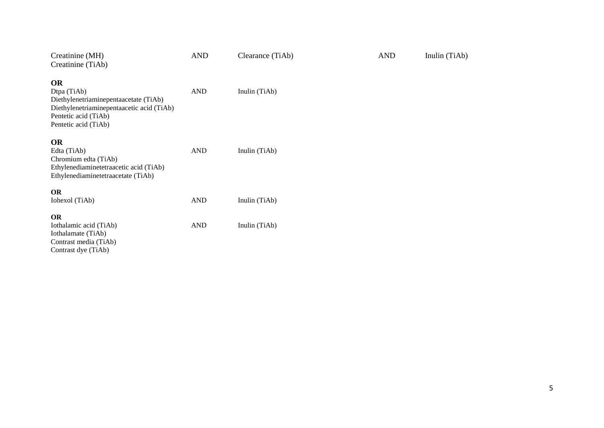| Creatinine (MH)<br>Creatinine (TiAb)                                                                                                                           | <b>AND</b> | Clearance (TiAb) | <b>AND</b> | Inulin (TiAb) |
|----------------------------------------------------------------------------------------------------------------------------------------------------------------|------------|------------------|------------|---------------|
| <b>OR</b><br>Dtpa (TiAb)<br>Diethylenetriaminepentaacetate (TiAb)<br>Diethylenetriaminepentaacetic acid (TiAb)<br>Pentetic acid (TiAb)<br>Pentetic acid (TiAb) | <b>AND</b> | Inulin (TiAb)    |            |               |
| <b>OR</b><br>Edta (TiAb)<br>Chromium edta (TiAb)<br>Ethylenediaminetetraacetic acid (TiAb)<br>Ethylenediaminetetraacetate (TiAb)                               | <b>AND</b> | Inulin (TiAb)    |            |               |
| <b>OR</b><br>Iohexol (TiAb)                                                                                                                                    | <b>AND</b> | Inulin (TiAb)    |            |               |
| <b>OR</b><br>Iothalamic acid (TiAb)<br>Iothalamate (TiAb)<br>Contrast media (TiAb)                                                                             | <b>AND</b> | Inulin (TiAb)    |            |               |

Contrast dye (TiAb)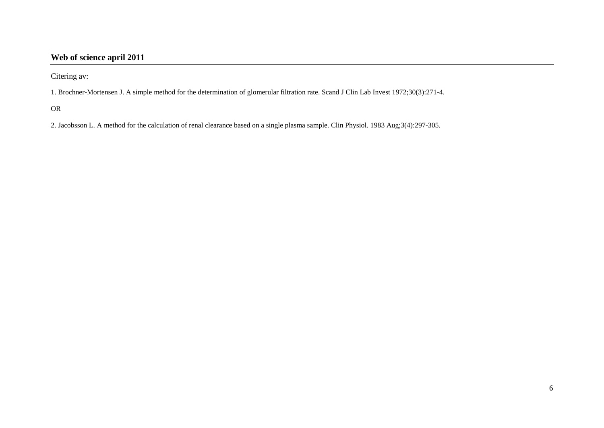### **Web of science april 2011**

Citering av:

1. Brochner-Mortensen J. A simple method for the determination of glomerular filtration rate. Scand J Clin Lab Invest 1972;30(3):271-4.

OR

2. Jacobsson L. A method for the calculation of renal clearance based on a single plasma sample. Clin Physiol. 1983 Aug;3(4):297-305.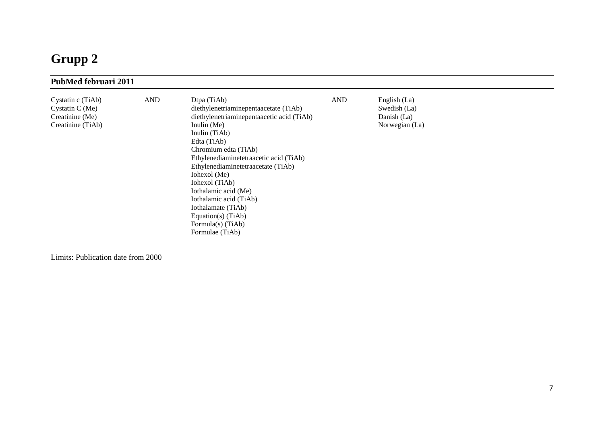# **Grupp 2**

| PubMed februari 2011                                                           |            |                                                                                                                                                                                                                                                                                                                                                                                                                                      |            |                                                               |  |
|--------------------------------------------------------------------------------|------------|--------------------------------------------------------------------------------------------------------------------------------------------------------------------------------------------------------------------------------------------------------------------------------------------------------------------------------------------------------------------------------------------------------------------------------------|------------|---------------------------------------------------------------|--|
| Cystatin c (TiAb)<br>Cystatin C $(Me)$<br>Creatinine (Me)<br>Creatinine (TiAb) | <b>AND</b> | Dtpa (TiAb)<br>diethylenetriaminepentaacetate (TiAb)<br>diethylenetriaminepentaacetic acid (TiAb)<br>Inulin $(Me)$<br>Inulin (TiAb)<br>Edta (TiAb)<br>Chromium edta (TiAb)<br>Ethylenediaminetetraacetic acid (TiAb)<br>Ethylenediaminetetraacetate (TiAb)<br>Iohexol (Me)<br>Iohexol (TiAb)<br>Iothalamic acid (Me)<br>Iothalamic acid (TiAb)<br>Iothalamate (TiAb)<br>Equation(s) $(TiAb)$<br>Formula(s) (TiAb)<br>Formulae (TiAb) | <b>AND</b> | English (La)<br>Swedish (La)<br>Danish (La)<br>Norwegian (La) |  |

Limits: Publication date from 2000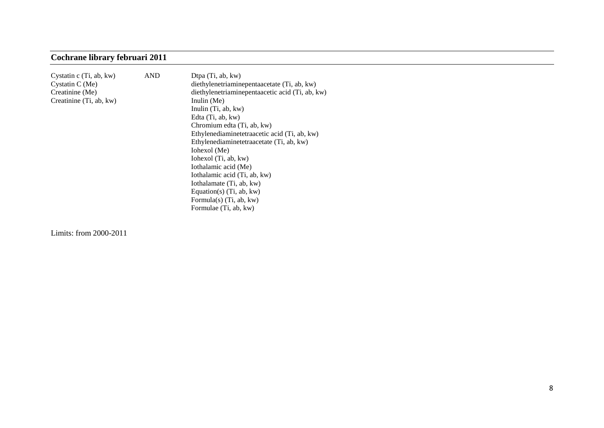# **Cochrane library februari 2011**

| Cystatin c (Ti, ab, kw) | <b>AND</b> | Dtpa (Ti, ab, kw)                               |
|-------------------------|------------|-------------------------------------------------|
| Cystatin C (Me)         |            | diethylenetriaminepentaacetate (Ti, ab, kw)     |
| Creatinine (Me)         |            | diethylenetriaminepentaacetic acid (Ti, ab, kw) |
| Creatinine (Ti, ab, kw) |            | Inulin (Me)                                     |
|                         |            | Inulin $(Ti, ab, kw)$                           |
|                         |            | Edta (Ti, ab, kw)                               |
|                         |            | Chromium edta (Ti, ab, kw)                      |
|                         |            | Ethylenediaminetetraacetic acid (Ti, ab, kw)    |
|                         |            | Ethylenediaminetetraacetate (Ti, ab, kw)        |
|                         |            | Iohexol (Me)                                    |
|                         |            | Iohexol (Ti, ab, kw)                            |
|                         |            | Iothalamic acid (Me)                            |
|                         |            | Iothalamic acid (Ti, ab, kw)                    |
|                         |            | Iothalamate (Ti, ab, kw)                        |
|                         |            | Equation(s) $(Ti, ab, kw)$                      |
|                         |            | Formula(s) $(Ti, ab, kw)$                       |
|                         |            | Formulae (Ti, ab, kw)                           |
|                         |            |                                                 |

Limits: from 2000-2011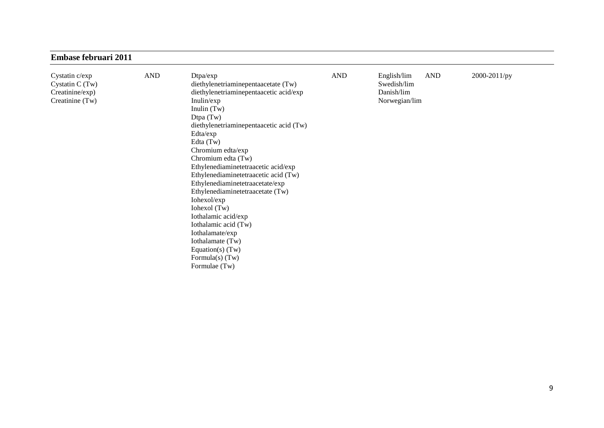| <b>Embase februari 2011</b>                                                |            |                                                                                                                                                                                                                                                                                                                                                                                                                                                                                                                                                                                |            |                                                                         |              |
|----------------------------------------------------------------------------|------------|--------------------------------------------------------------------------------------------------------------------------------------------------------------------------------------------------------------------------------------------------------------------------------------------------------------------------------------------------------------------------------------------------------------------------------------------------------------------------------------------------------------------------------------------------------------------------------|------------|-------------------------------------------------------------------------|--------------|
| Cystatin c/exp<br>Cystatin $C(Tw)$<br>Creatinine/exp)<br>Creatinine $(Tw)$ | <b>AND</b> | Dtpa/exp<br>diethylenetriaminepentaacetate (Tw)<br>diethylenetriaminepentaacetic acid/exp<br>Inulin/exp<br>Inulin $(Tw)$<br>Dtpa $(Tw)$<br>diethylenetriaminepentaacetic acid (Tw)<br>Edta/exp<br>Edta $(Tw)$<br>Chromium edta/exp<br>Chromium edta (Tw)<br>Ethylenediaminetetraacetic acid/exp<br>Ethylenediaminetetraacetic acid (Tw)<br>Ethylenediaminetetraacetate/exp<br>Ethylenediaminetetraacetate (Tw)<br>Iohexol/exp<br>Iohexol (Tw)<br>Iothalamic acid/exp<br>Iothalamic acid (Tw)<br>Iothalamate/exp<br>Iothalamate (Tw)<br>Equation(s) $(Tw)$<br>Formula(s) $(Tw)$ | <b>AND</b> | English/lim<br><b>AND</b><br>Swedish/lim<br>Danish/lim<br>Norwegian/lim | 2000-2011/py |

Formulae (Tw)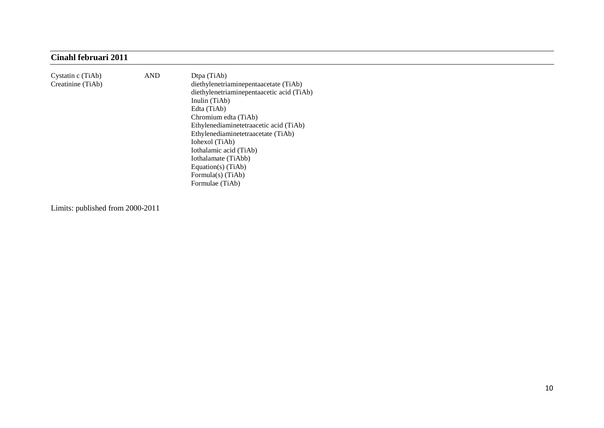## **Cinahl februari 2011**

| Cystatin c (TiAb)<br>Creatinine (TiAb) | <b>AND</b> | Dtpa (TiAb)<br>diethylenetriaminepentaacetate (TiAb)<br>diethylenetriaminepentaacetic acid (TiAb)<br>Inulin (TiAb)<br>Edta (TiAb)<br>Chromium edta (TiAb) |
|----------------------------------------|------------|-----------------------------------------------------------------------------------------------------------------------------------------------------------|
|                                        |            | Ethylenediaminetetraacetic acid (TiAb)                                                                                                                    |
|                                        |            | Ethylenediaminetetraacetate (TiAb)                                                                                                                        |
|                                        |            | Iohexol (TiAb)                                                                                                                                            |
|                                        |            | Iothalamic acid (TiAb)                                                                                                                                    |
|                                        |            | Iothalamate (TiAbb)                                                                                                                                       |
|                                        |            | Equation(s) $(TiAb)$                                                                                                                                      |
|                                        |            | Formula(s) $(TiAb)$                                                                                                                                       |
|                                        |            | Formulae (TiAb)                                                                                                                                           |

Limits: published from 2000-2011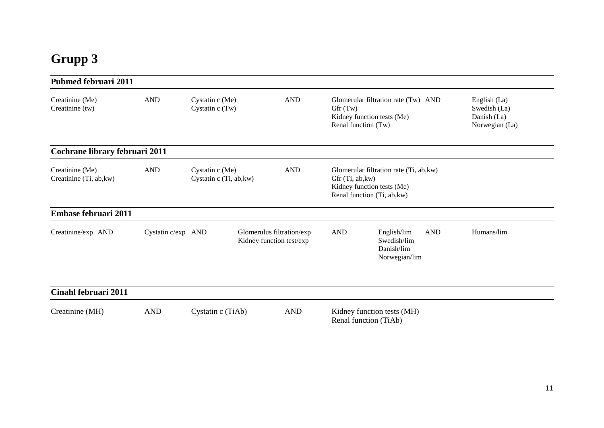# **Grupp 3**

| <b>Pubmed februari 2011</b>                |                    |                                              |                                                       |                                                                                                     |                                                                                                      |                                                               |
|--------------------------------------------|--------------------|----------------------------------------------|-------------------------------------------------------|-----------------------------------------------------------------------------------------------------|------------------------------------------------------------------------------------------------------|---------------------------------------------------------------|
| Creatinine (Me)<br>Creatinine (tw)         | <b>AND</b>         | Cystatin c (Me)<br>Cystatin c (Tw)           | <b>AND</b>                                            | Glomerular filtration rate (Tw) AND<br>Gfr(Tw)<br>Kidney function tests (Me)<br>Renal function (Tw) |                                                                                                      | English (La)<br>Swedish (La)<br>Danish (La)<br>Norwegian (La) |
| Cochrane library februari 2011             |                    |                                              |                                                       |                                                                                                     |                                                                                                      |                                                               |
| Creatinine (Me)<br>Creatinine (Ti, ab, kw) | <b>AND</b>         | Cystatin $c$ (Me)<br>Cystatin c (Ti, ab, kw) | <b>AND</b>                                            | Gfr (Ti, ab, kw)                                                                                    | Glomerular filtration rate (Ti, ab, kw)<br>Kidney function tests (Me)<br>Renal function (Ti, ab, kw) |                                                               |
| Embase februari 2011                       |                    |                                              |                                                       |                                                                                                     |                                                                                                      |                                                               |
| Creatinine/exp AND                         | Cystatin c/exp AND |                                              | Glomerulus filtration/exp<br>Kidney function test/exp | <b>AND</b>                                                                                          | <b>AND</b><br>English/lim<br>Swedish/lim<br>Danish/lim<br>Norwegian/lim                              | Humans/lim                                                    |
| Cinahl februari 2011                       |                    |                                              |                                                       |                                                                                                     |                                                                                                      |                                                               |
| Creatinine (MH)                            | <b>AND</b>         | Cystatin c (TiAb)                            | <b>AND</b>                                            |                                                                                                     | Kidney function tests (MH)<br>Renal function (TiAb)                                                  |                                                               |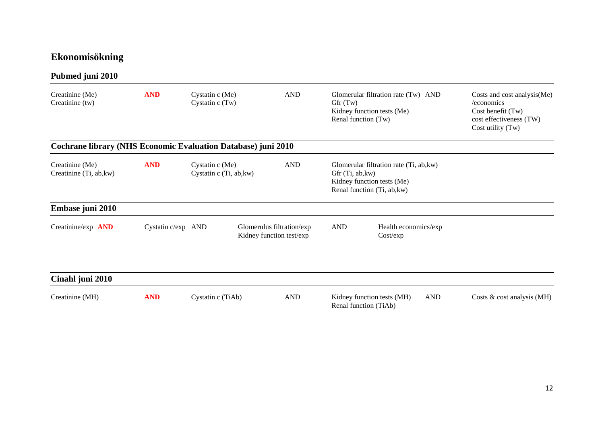# **Ekonomisökning**

| Pubmed juni 2010                                              |                    |                                            |                                                       |                                |                                                                                                      |                                                                                                                |
|---------------------------------------------------------------|--------------------|--------------------------------------------|-------------------------------------------------------|--------------------------------|------------------------------------------------------------------------------------------------------|----------------------------------------------------------------------------------------------------------------|
| Creatinine (Me)<br>Creatinine (tw)                            | <b>AND</b>         | Cystatin c (Me)<br>Cystatin c (Tw)         | <b>AND</b>                                            | Gfr(Tw)<br>Renal function (Tw) | Glomerular filtration rate (Tw) AND<br>Kidney function tests (Me)                                    | Costs and cost analysis(Me)<br>/economics<br>Cost benefit (Tw)<br>cost effectiveness (TW)<br>Cost utility (Tw) |
| Cochrane library (NHS Economic Evaluation Database) juni 2010 |                    |                                            |                                                       |                                |                                                                                                      |                                                                                                                |
| Creatinine (Me)<br>Creatinine (Ti, ab, kw)                    | <b>AND</b>         | Cystatin c (Me)<br>Cystatin c (Ti, ab, kw) | <b>AND</b>                                            | Gfr (Ti, ab, kw)               | Glomerular filtration rate (Ti, ab, kw)<br>Kidney function tests (Me)<br>Renal function (Ti, ab, kw) |                                                                                                                |
| Embase juni 2010                                              |                    |                                            |                                                       |                                |                                                                                                      |                                                                                                                |
| Creatinine/exp AND                                            | Cystatin c/exp AND |                                            | Glomerulus filtration/exp<br>Kidney function test/exp | <b>AND</b>                     | Health economics/exp<br>Cost/exp                                                                     |                                                                                                                |
| Cinahl juni 2010                                              |                    |                                            |                                                       |                                |                                                                                                      |                                                                                                                |
| Creatinine (MH)                                               | <b>AND</b>         | Cystatin c (TiAb)                          | <b>AND</b>                                            | Renal function (TiAb)          | Kidney function tests (MH)<br><b>AND</b>                                                             | Costs & cost analysis (MH)                                                                                     |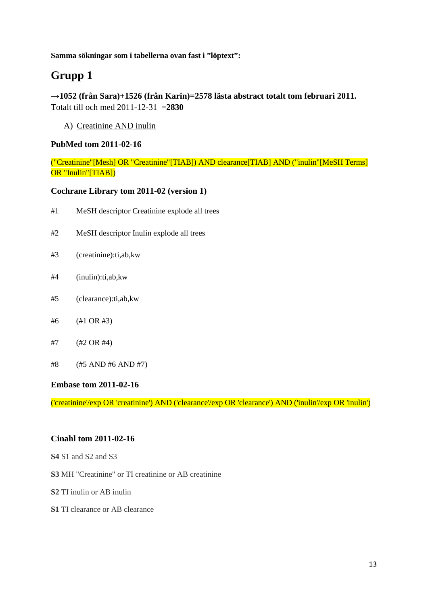**Samma sökningar som i tabellerna ovan fast i "löptext":**

# **Grupp 1**

**→1052 (från Sara)+1526 (från Karin)=2578 lästa abstract totalt tom februari 2011.**  Totalt till och med 2011-12-31 =**2830**

A) Creatinine AND inulin

#### **PubMed tom 2011-02-16**

("Creatinine"[Mesh] OR "Creatinine"[TIAB]) AND clearance[TIAB] AND ("inulin"[MeSH Terms] OR "Inulin"[TIAB])

#### **Cochrane Library tom 2011-02 (version 1)**

- #1 [MeSH descriptor Creatinine explode all trees](http://onlinelibrary.wiley.com/o/cochrane/searchHistory?mode=runquery&qnum=1)
- #2 [MeSH descriptor Inulin explode all trees](http://onlinelibrary.wiley.com/o/cochrane/searchHistory?mode=runquery&qnum=2)
- #3 [\(creatinine\):ti,ab,kw](http://onlinelibrary.wiley.com/o/cochrane/searchHistory?mode=runquery&qnum=3)
- #4 [\(inulin\):ti,ab,kw](http://onlinelibrary.wiley.com/o/cochrane/searchHistory?mode=runquery&qnum=4)
- #5 [\(clearance\):ti,ab,kw](http://onlinelibrary.wiley.com/o/cochrane/searchHistory?mode=runquery&qnum=5)
- #6 [\(#1 OR #3\)](http://onlinelibrary.wiley.com/o/cochrane/searchHistory?mode=runquery&qnum=6)
- #7 [\(#2 OR #4\)](http://onlinelibrary.wiley.com/o/cochrane/searchHistory?mode=runquery&qnum=7)
- #8 [\(#5 AND #6 AND #7\)](http://onlinelibrary.wiley.com/o/cochrane/searchHistory?mode=runquery&qnum=8)

#### **Embase tom 2011-02-16**

('creatinine'/exp OR 'creatinine') AND ('clearance'/exp OR 'clearance') AND ('inulin'/exp OR 'inulin')

#### **Cinahl tom 2011-02-16**

- **S4** S1 and S2 and S3
- **S3** MH "Creatinine" or TI creatinine or AB creatinine
- **S2** TI inulin or AB inulin
- **S1** TI clearance or AB clearance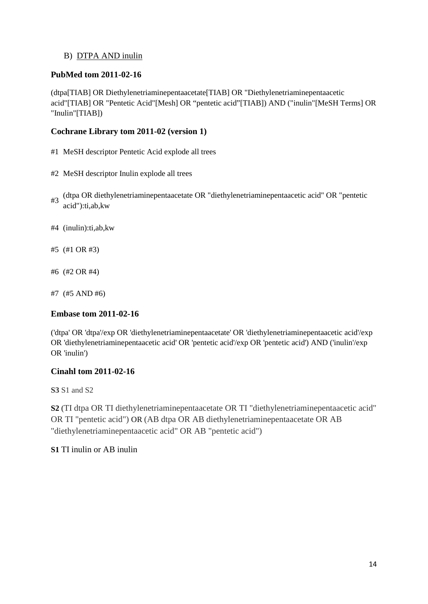### B) DTPA AND inulin

### **PubMed tom 2011-02-16**

(dtpa[TIAB] OR Diethylenetriaminepentaacetate[TIAB] OR "Diethylenetriaminepentaacetic acid"[TIAB] OR "Pentetic Acid"[Mesh] OR "pentetic acid"[TIAB]) AND ("inulin"[MeSH Terms] OR "Inulin"[TIAB])

### **Cochrane Library tom 2011-02 (version 1)**

- #1 [MeSH descriptor Pentetic Acid explode all trees](http://onlinelibrary.wiley.com/o/cochrane/searchHistory?mode=runquery&qnum=1)
- #2 MeSH [descriptor Inulin explode all trees](http://onlinelibrary.wiley.com/o/cochrane/searchHistory?mode=runquery&qnum=2)
- #3 [\(dtpa OR diethylenetriaminepentaacetate OR "diethylenetriaminepentaacetic acid" OR "pentetic](http://onlinelibrary.wiley.com/o/cochrane/searchHistory?mode=runquery&qnum=3)  [acid"\):ti,ab,kw](http://onlinelibrary.wiley.com/o/cochrane/searchHistory?mode=runquery&qnum=3)
- #4 [\(inulin\):ti,ab,kw](http://onlinelibrary.wiley.com/o/cochrane/searchHistory?mode=runquery&qnum=4)
- #5 [\(#1 OR #3\)](http://onlinelibrary.wiley.com/o/cochrane/searchHistory?mode=runquery&qnum=5)
- #6 [\(#2 OR #4\)](http://onlinelibrary.wiley.com/o/cochrane/searchHistory?mode=runquery&qnum=6)
- #7 [\(#5 AND #6\)](http://onlinelibrary.wiley.com/o/cochrane/searchHistory?mode=runquery&qnum=7)

#### **Embase tom 2011-02-16**

('dtpa' OR 'dtpa'/exp OR 'diethylenetriaminepentaacetate' OR 'diethylenetriaminepentaacetic acid'/exp OR 'diethylenetriaminepentaacetic acid' OR 'pentetic acid'/exp OR 'pentetic acid') AND ('inulin'/exp OR 'inulin')

#### **Cinahl tom 2011-02-16**

**S3** S1 and S2

**S2** (TI dtpa OR TI diethylenetriaminepentaacetate OR TI "diethylenetriaminepentaacetic acid" OR TI "pentetic acid") OR (AB dtpa OR AB diethylenetriaminepentaacetate OR AB "diethylenetriaminepentaacetic acid" OR AB "pentetic acid")

#### **S1** TI inulin or AB inulin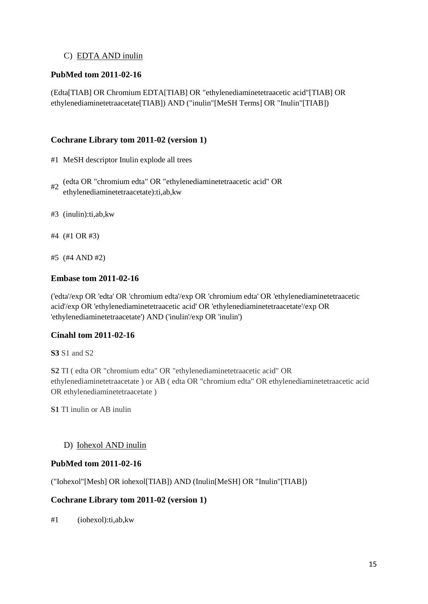### C) EDTA AND inulin

### **PubMed tom 2011-02-16**

(Edta[TIAB] OR Chromium EDTA[TIAB] OR "ethylenediaminetetraacetic acid"[TIAB] OR ethylenediaminetetraacetate[TIAB]) AND ("inulin"[MeSH Terms] OR "Inulin"[TIAB])

#### **Cochrane Library tom 2011-02 (version 1)**

- #1 [MeSH descriptor Inulin](http://onlinelibrary.wiley.com/o/cochrane/searchHistory?mode=runquery&qnum=1) explode all trees
- #2 [\(edta OR "chromium edta" OR "ethylenediaminetetraacetic acid" OR](http://onlinelibrary.wiley.com/o/cochrane/searchHistory?mode=runquery&qnum=2)  [ethylenediaminetetraacetate\):ti,ab,kw](http://onlinelibrary.wiley.com/o/cochrane/searchHistory?mode=runquery&qnum=2)
- #3 [\(inulin\):ti,ab,kw](http://onlinelibrary.wiley.com/o/cochrane/searchHistory?mode=runquery&qnum=3)
- #4 [\(#1 OR #3\)](http://onlinelibrary.wiley.com/o/cochrane/searchHistory?mode=runquery&qnum=4)
- #5 [\(#4 AND #2\)](http://onlinelibrary.wiley.com/o/cochrane/searchHistory?mode=runquery&qnum=5)

#### **Embase tom 2011-02-16**

('edta'/exp OR 'edta' OR 'chromium edta'/exp OR 'chromium edta' OR 'ethylenediaminetetraacetic acid'/exp OR 'ethylenediaminetetraacetic acid' OR 'ethylenediaminetetraacetate'/exp OR 'ethylenediaminetetraacetate') AND ('inulin'/exp OR 'inulin')

#### **Cinahl tom 2011-02-16**

**S3** S1 and S2

**S2** TI ( edta OR "chromium edta" OR "ethylenediaminetetraacetic acid" OR ethylenediaminetetraacetate ) or AB ( edta OR "chromium edta" OR ethylenediaminetetraacetic acid OR ethylenediaminetetraacetate )

**S1** TI inulin or AB inulin

#### D) Iohexol AND inulin

#### **PubMed tom 2011-02-16**

("Iohexol"[Mesh] OR iohexol[TIAB]) AND (Inulin[MeSH] OR "Inulin"[TIAB])

#### **Cochrane Library tom 2011-02 (version 1)**

#1 [\(iohexol\):ti,ab,kw](http://onlinelibrary.wiley.com/o/cochrane/searchHistory?mode=runquery&qnum=1)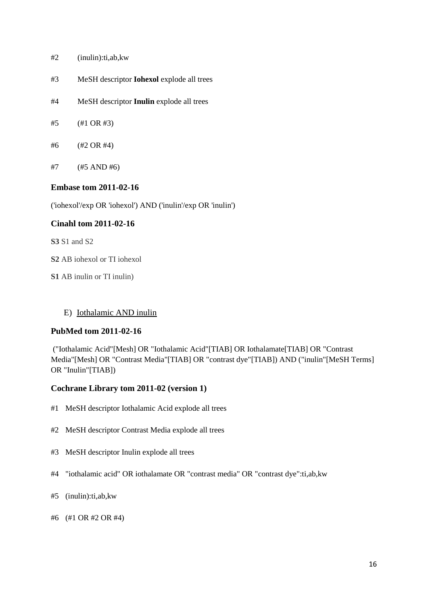- #2 [\(inulin\):ti,ab,kw](http://onlinelibrary.wiley.com/o/cochrane/searchHistory?mode=runquery&qnum=2)
- #3 [MeSH descriptor](http://onlinelibrary.wiley.com/o/cochrane/searchHistory?mode=runquery&qnum=3) **Iohexol** explode all trees
- #4 [MeSH descriptor](http://onlinelibrary.wiley.com/o/cochrane/searchHistory?mode=runquery&qnum=4) **Inulin** explode all trees
- #5 [\(#1 OR #3\)](http://onlinelibrary.wiley.com/o/cochrane/searchHistory?mode=runquery&qnum=5)
- #6 [\(#2 OR #4\)](http://onlinelibrary.wiley.com/o/cochrane/searchHistory?mode=runquery&qnum=6)
- #7 [\(#5 AND #6\)](http://onlinelibrary.wiley.com/o/cochrane/searchHistory?mode=runquery&qnum=7)

#### **Embase tom 2011-02-16**

('iohexol'/exp OR 'iohexol') AND ('inulin'/exp OR 'inulin')

#### **Cinahl tom 2011-02-16**

**S3** S1 and S2

**S2** AB iohexol or TI iohexol

**S1** AB inulin or TI inulin)

#### E) Iothalamic AND inulin

#### **PubMed tom 2011-02-16**

("Iothalamic Acid"[Mesh] OR "Iothalamic Acid"[TIAB] OR Iothalamate[TIAB] OR "Contrast Media"[Mesh] OR "Contrast Media"[TIAB] OR "contrast dye"[TIAB]) AND ("inulin"[MeSH Terms] OR "Inulin"[TIAB])

#### **Cochrane Library tom 2011-02 (version 1)**

- #1 [MeSH descriptor Iothalamic Acid explode all trees](http://onlinelibrary.wiley.com/o/cochrane/searchHistory?mode=runquery&qnum=1)
- #2 [MeSH descriptor Contrast Media explode all trees](http://onlinelibrary.wiley.com/o/cochrane/searchHistory?mode=runquery&qnum=2)
- #3 [MeSH descriptor Inulin explode all trees](http://onlinelibrary.wiley.com/o/cochrane/searchHistory?mode=runquery&qnum=3)
- #4 ["iothalamic acid" OR iothalamate OR "contrast media" OR "contrast dye":ti,ab,kw](http://onlinelibrary.wiley.com/o/cochrane/searchHistory?mode=runquery&qnum=4)
- #5 [\(inulin\):ti,ab,kw](http://onlinelibrary.wiley.com/o/cochrane/searchHistory?mode=runquery&qnum=5)
- #6 [\(#1 OR #2 OR #4\)](http://onlinelibrary.wiley.com/o/cochrane/searchHistory?mode=runquery&qnum=6)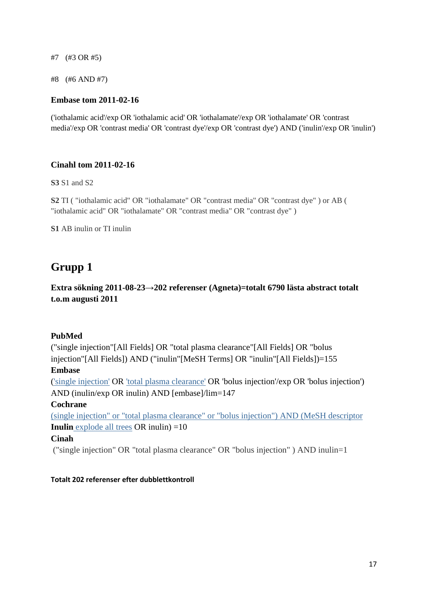#7 [\(#3 OR #5\)](http://onlinelibrary.wiley.com/o/cochrane/searchHistory?mode=runquery&qnum=7)

#8 (#6 AND #7)

#### **Embase tom 2011-02-16**

('iothalamic acid'/exp OR 'iothalamic acid' OR 'iothalamate'/exp OR 'iothalamate' OR 'contrast media'/exp OR 'contrast media' OR 'contrast dye'/exp OR 'contrast dye') AND ('inulin'/exp OR 'inulin')

#### **Cinahl tom 2011-02-16**

**S3** S1 and S2

**S2** TI ( "iothalamic acid" OR "iothalamate" OR "contrast media" OR "contrast dye" ) or AB ( "iothalamic acid" OR "iothalamate" OR "contrast media" OR "contrast dye" )

**S1** AB inulin or TI inulin

# **Grupp 1**

**Extra sökning 2011-08-23→202 referenser (Agneta)=totalt 6790 lästa abstract totalt t.o.m augusti 2011**

#### **PubMed**

("single injection"[All Fields] OR "total plasma clearance"[All Fields] OR "bolus injection"[All Fields]) AND ("inulin"[MeSH Terms] OR "inulin"[All Fields])=155

#### **Embase**

[\('single injection'](javascript:opensuggestions() OR ['total plasma clearance'](javascript:opensuggestions() OR 'bolus injection'/exp OR 'bolus injection') AND (inulin/exp OR inulin) AND [embase]/lim=147

#### **Cochrane**

(single injection" or "total plasma clearance" or "bolus injection") AND [\(MeSH descriptor](http://onlinelibrary.wiley.com/o/cochrane/searchHistory?mode=runquery&qnum=3)  **Inulin** [explode all trees](http://onlinelibrary.wiley.com/o/cochrane/searchHistory?mode=runquery&qnum=3) OR inulin)  $=10$ 

#### **Cinah**

("single injection" OR "total plasma clearance" OR "bolus injection" ) AND inulin=1

#### **Totalt 202 referenser efter dubblettkontroll**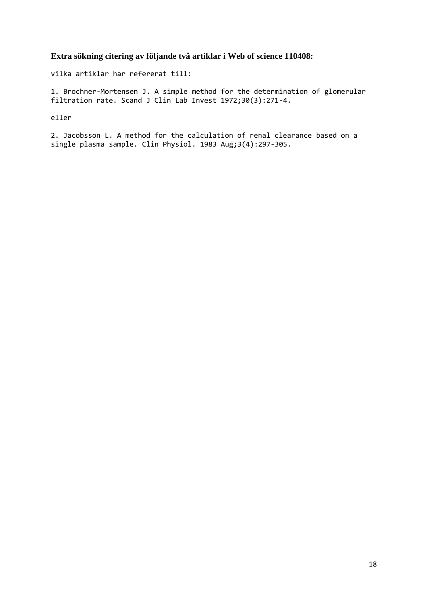### **Extra sökning citering av följande två artiklar i Web of science 110408:**

vilka artiklar har refererat till:

1. Brochner-Mortensen J. A simple method for the determination of glomerular filtration rate. Scand J Clin Lab Invest 1972;30(3):271-4.

eller

2. Jacobsson L. A method for the calculation of renal clearance based on a single plasma sample. Clin Physiol. 1983 Aug;3(4):297-305.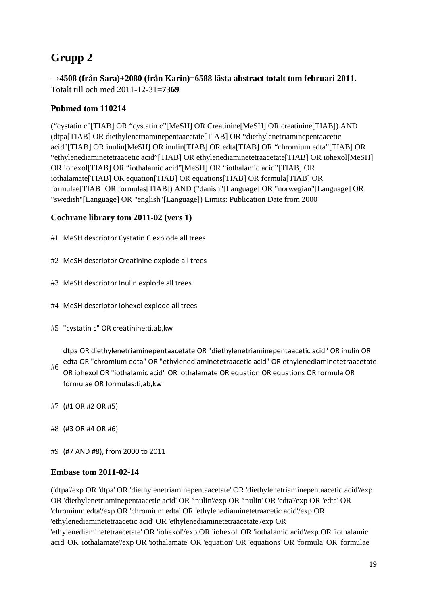# **Grupp 2**

**→4508 (från Sara)+2080 (från Karin)=6588 lästa abstract totalt tom februari 2011.**  Totalt till och med 2011-12-31=**7369**

## **Pubmed tom 110214**

("cystatin c"[TIAB] OR "cystatin c"[MeSH] OR Creatinine[MeSH] OR creatinine[TIAB]) AND (dtpa[TIAB] OR diethylenetriaminepentaacetate[TIAB] OR "diethylenetriaminepentaacetic acid"[TIAB] OR inulin[MeSH] OR inulin[TIAB] OR edta[TIAB] OR "chromium edta"[TIAB] OR "ethylenediaminetetraacetic acid"[TIAB] OR ethylenediaminetetraacetate[TIAB] OR iohexol[MeSH] OR iohexol[TIAB] OR "iothalamic acid"[MeSH] OR "iothalamic acid"[TIAB] OR iothalamate[TIAB] OR equation[TIAB] OR equations[TIAB] OR formula[TIAB] OR formulae[TIAB] OR formulas[TIAB]) AND ("danish"[Language] OR "norwegian"[Language] OR "swedish"[Language] OR "english"[Language]) Limits: Publication Date from 2000

### **Cochrane library tom 2011-02 (vers 1)**

- #1 [MeSH descriptor Cystatin C](http://onlinelibrary.wiley.com/o/cochrane/searchHistory?mode=runquery&qnum=1) explode all trees
- #2 [MeSH descriptor Creatinine](http://onlinelibrary.wiley.com/o/cochrane/searchHistory?mode=runquery&qnum=2) explode all trees
- #3 [MeSH descriptor Inulin](http://onlinelibrary.wiley.com/o/cochrane/searchHistory?mode=runquery&qnum=3) explode all trees
- #4 [MeSH descriptor Iohexol](http://onlinelibrary.wiley.com/o/cochrane/searchHistory?mode=runquery&qnum=4) explode all trees
- #5 ["cystatin c" OR creatinine:ti,ab,kw](http://onlinelibrary.wiley.com/o/cochrane/searchHistory?mode=runquery&qnum=5)

[dtpa OR diethylenetriaminepentaacetate OR "diethylenetriaminepentaacetic acid" OR inulin OR](http://onlinelibrary.wiley.com/o/cochrane/searchHistory?mode=runquery&qnum=6)  [edta OR "chromium edta" OR "ethylenediaminetetraacetic acid" OR ethylenediaminetetraacetate](http://onlinelibrary.wiley.com/o/cochrane/searchHistory?mode=runquery&qnum=6) 

- #6 [OR iohexol OR "iothalamic acid" OR iothalamate OR equation OR equations OR formula OR](http://onlinelibrary.wiley.com/o/cochrane/searchHistory?mode=runquery&qnum=6)  [formulae OR formulas:ti,ab,kw](http://onlinelibrary.wiley.com/o/cochrane/searchHistory?mode=runquery&qnum=6)
- #7 [\(#1 OR #2 OR #5\)](http://onlinelibrary.wiley.com/o/cochrane/searchHistory?mode=runquery&qnum=7)
- #8 [\(#3 OR #4 OR #6\)](http://onlinelibrary.wiley.com/o/cochrane/searchHistory?mode=runquery&qnum=8)
- #9 [\(#7 AND #8\), from 2000 to 2011](http://onlinelibrary.wiley.com/o/cochrane/searchHistory?mode=runquery&qnum=9)

#### **Embase tom 2011-02-14**

('dtpa'/exp OR 'dtpa' OR 'diethylenetriaminepentaacetate' OR 'diethylenetriaminepentaacetic acid'/exp OR 'diethylenetriaminepentaacetic acid' OR 'inulin'/exp OR 'inulin' OR 'edta'/exp OR 'edta' OR 'chromium edta'/exp OR 'chromium edta' OR 'ethylenediaminetetraacetic acid'/exp OR 'ethylenediaminetetraacetic acid' OR 'ethylenediaminetetraacetate'/exp OR 'ethylenediaminetetraacetate' OR 'iohexol'/exp OR 'iohexol' OR 'iothalamic acid'/exp OR 'iothalamic acid' OR 'iothalamate'/exp OR 'iothalamate' OR 'equation' OR 'equations' OR 'formula' OR 'formulae'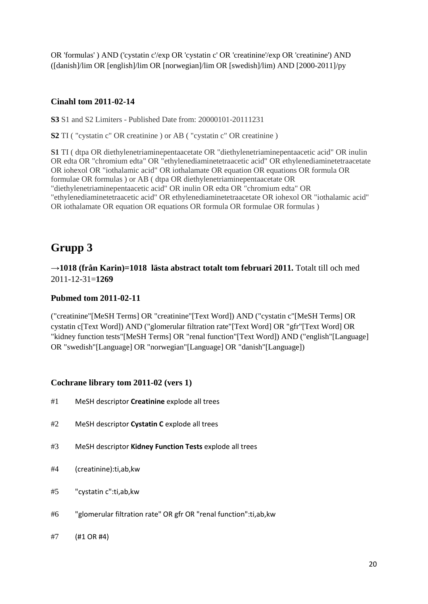OR 'formulas' ) AND ('cystatin c'/exp OR 'cystatin c' OR 'creatinine'/exp OR 'creatinine') AND ([danish]/lim OR [english]/lim OR [norwegian]/lim OR [swedish]/lim) AND [2000-2011]/py

#### **Cinahl tom 2011-02-14**

**S3** S1 and S2 Limiters - Published Date from: 20000101-20111231

**S2** TI ( "cystatin c" OR creatinine ) or AB ( "cystatin c" OR creatinine )

**S1** TI ( dtpa OR diethylenetriaminepentaacetate OR "diethylenetriaminepentaacetic acid" OR inulin OR edta OR "chromium edta" OR "ethylenediaminetetraacetic acid" OR ethylenediaminetetraacetate OR iohexol OR "iothalamic acid" OR iothalamate OR equation OR equations OR formula OR formulae OR formulas ) or AB ( dtpa OR diethylenetriaminepentaacetate OR "diethylenetriaminepentaacetic acid" OR inulin OR edta OR "chromium edta" OR "ethylenediaminetetraacetic acid" OR ethylenediaminetetraacetate OR iohexol OR "iothalamic acid" OR iothalamate OR equation OR equations OR formula OR formulae OR formulas )

# **Grupp 3**

**→1018 (från Karin)=1018 lästa abstract totalt tom februari 2011.** Totalt till och med 2011-12-31=**1269**

#### **Pubmed tom 2011-02-11**

("creatinine"[MeSH Terms] OR "creatinine"[Text Word]) AND ("cystatin c"[MeSH Terms] OR cystatin c[Text Word]) AND ("glomerular filtration rate"[Text Word] OR "gfr"[Text Word] OR "kidney function tests"[MeSH Terms] OR "renal function"[Text Word]) AND ("english"[Language] OR "swedish"[Language] OR "norwegian"[Language] OR "danish"[Language])

#### **Cochrane library tom 2011-02 (vers 1)**

- #1 [MeSH descriptor](http://onlinelibrary.wiley.com/o/cochrane/searchHistory?mode=runquery&qnum=1) **Creatinine** explode all trees
- #2 [MeSH descriptor](http://onlinelibrary.wiley.com/o/cochrane/searchHistory?mode=runquery&qnum=2) **Cystatin C** explode all trees
- #3 MeSH descriptor **[Kidney Function Tests](http://onlinelibrary.wiley.com/o/cochrane/searchHistory?mode=runquery&qnum=3)** explode all trees
- #4 [\(creatinine\):ti,ab,kw](http://onlinelibrary.wiley.com/o/cochrane/searchHistory?mode=runquery&qnum=4)
- #5 ["cystatin c":ti,ab,kw](http://onlinelibrary.wiley.com/o/cochrane/searchHistory?mode=runquery&qnum=5)
- #6 ["glomerular filtration rate" OR gfr OR "renal function":ti,ab,kw](http://onlinelibrary.wiley.com/o/cochrane/searchHistory?mode=runquery&qnum=6)
- #7 [\(#1 OR #4\)](http://onlinelibrary.wiley.com/o/cochrane/searchHistory?mode=runquery&qnum=7)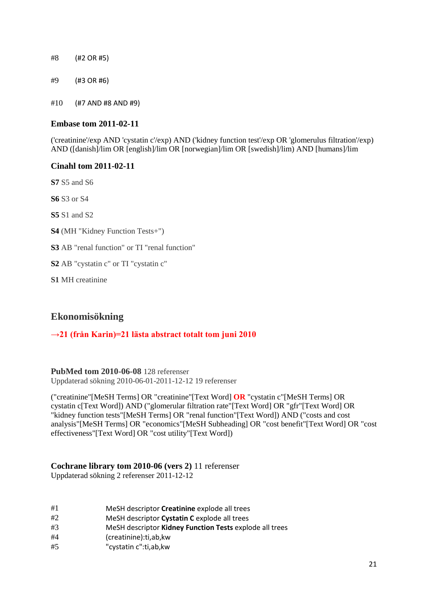#8 [\(#2 OR #5\)](http://onlinelibrary.wiley.com/o/cochrane/searchHistory?mode=runquery&qnum=8) #9 [\(#3 OR #6\)](http://onlinelibrary.wiley.com/o/cochrane/searchHistory?mode=runquery&qnum=9) #10 [\(#7 AND #8 AND #9\)](http://onlinelibrary.wiley.com/o/cochrane/searchHistory?mode=runquery&qnum=10) 

#### **Embase tom 2011-02-11**

('creatinine'/exp AND 'cystatin c'/exp) AND ('kidney function test'/exp OR 'glomerulus filtration'/exp) AND ([danish]/lim OR [english]/lim OR [norwegian]/lim OR [swedish]/lim) AND [humans]/lim

#### **Cinahl tom 2011-02-11**

**S7** S5 and S6

**S6** S3 or S4

**S5** S1 and S2

**S4** (MH "Kidney Function Tests+")

**S3** AB "renal function" or TI "renal function"

**S2** AB "cystatin c" or TI "cystatin c"

**S1** MH creatinine

## **Ekonomisökning**

#### **→21 (från Karin)=21 lästa abstract totalt tom juni 2010**

**PubMed tom 2010-06-08** 128 referenser Uppdaterad sökning 2010-06-01-2011-12-12 19 referenser

("creatinine"[MeSH Terms] OR "creatinine"[Text Word] **OR** "cystatin c"[MeSH Terms] OR cystatin c[Text Word]) AND ("glomerular filtration rate"[Text Word] OR "gfr"[Text Word] OR "kidney function tests"[MeSH Terms] OR "renal function"[Text Word]) AND ("costs and cost analysis"[MeSH Terms] OR "economics"[MeSH Subheading] OR "cost benefit"[Text Word] OR "cost effectiveness"[Text Word] OR "cost utility"[Text Word])

# **Cochrane library tom 2010-06 (vers 2)** 11 referenser

Uppdaterad sökning 2 referenser 2011-12-12

- #1 [MeSH descriptor](http://onlinelibrary.wiley.com/o/cochrane/searchHistory?mode=runquery&qnum=1) **Creatinine** explode all trees
- #2 [MeSH descriptor](http://onlinelibrary.wiley.com/o/cochrane/searchHistory?mode=runquery&qnum=2) **Cystatin C** explode all trees
- #3 MeSH descriptor **[Kidney Function Tests](http://onlinelibrary.wiley.com/o/cochrane/searchHistory?mode=runquery&qnum=3)** explode all trees
- #4 [\(creatinine\):ti,ab,kw](http://onlinelibrary.wiley.com/o/cochrane/searchHistory?mode=runquery&qnum=4)
- #5 ["cystatin c":ti,ab,kw](http://onlinelibrary.wiley.com/o/cochrane/searchHistory?mode=runquery&qnum=5)